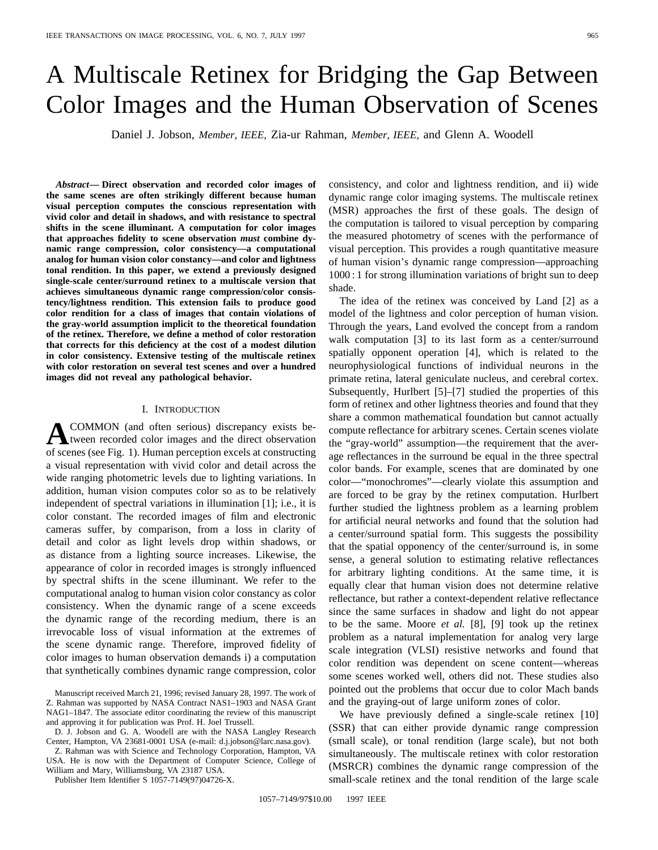# A Multiscale Retinex for Bridging the Gap Between Color Images and the Human Observation of Scenes

Daniel J. Jobson, *Member, IEEE,* Zia-ur Rahman, *Member, IEEE,* and Glenn A. Woodell

*Abstract—* **Direct observation and recorded color images of the same scenes are often strikingly different because human visual perception computes the conscious representation with vivid color and detail in shadows, and with resistance to spectral shifts in the scene illuminant. A computation for color images that approaches fidelity to scene observation** *must* **combine dynamic range compression, color consistency—a computational analog for human vision color constancy—and color and lightness tonal rendition. In this paper, we extend a previously designed single-scale center/surround retinex to a multiscale version that achieves simultaneous dynamic range compression/color consistency/lightness rendition. This extension fails to produce good color rendition for a class of images that contain violations of the gray-world assumption implicit to the theoretical foundation of the retinex. Therefore, we define a method of color restoration that corrects for this deficiency at the cost of a modest dilution in color consistency. Extensive testing of the multiscale retinex with color restoration on several test scenes and over a hundred images did not reveal any pathological behavior.**

#### I. INTRODUCTION

**A**COMMON (and often serious) discrepancy exists be-<br>tween recorded color images and the direct observation of scenes (see Fig. 1). Human perception excels at constructing a visual representation with vivid color and detail across the wide ranging photometric levels due to lighting variations. In addition, human vision computes color so as to be relatively independent of spectral variations in illumination [1]; i.e., it is color constant. The recorded images of film and electronic cameras suffer, by comparison, from a loss in clarity of detail and color as light levels drop within shadows, or as distance from a lighting source increases. Likewise, the appearance of color in recorded images is strongly influenced by spectral shifts in the scene illuminant. We refer to the computational analog to human vision color constancy as color consistency. When the dynamic range of a scene exceeds the dynamic range of the recording medium, there is an irrevocable loss of visual information at the extremes of the scene dynamic range. Therefore, improved fidelity of color images to human observation demands i) a computation that synthetically combines dynamic range compression, color

Z. Rahman was with Science and Technology Corporation, Hampton, VA USA. He is now with the Department of Computer Science, College of William and Mary, Williamsburg, VA 23187 USA.

Publisher Item Identifier S 1057-7149(97)04726-X.

consistency, and color and lightness rendition, and ii) wide dynamic range color imaging systems. The multiscale retinex (MSR) approaches the first of these goals. The design of the computation is tailored to visual perception by comparing the measured photometry of scenes with the performance of visual perception. This provides a rough quantitative measure of human vision's dynamic range compression—approaching 1000 : 1 for strong illumination variations of bright sun to deep shade.

The idea of the retinex was conceived by Land [2] as a model of the lightness and color perception of human vision. Through the years, Land evolved the concept from a random walk computation [3] to its last form as a center/surround spatially opponent operation [4], which is related to the neurophysiological functions of individual neurons in the primate retina, lateral geniculate nucleus, and cerebral cortex. Subsequently, Hurlbert [5]–[7] studied the properties of this form of retinex and other lightness theories and found that they share a common mathematical foundation but cannot actually compute reflectance for arbitrary scenes. Certain scenes violate the "gray-world" assumption—the requirement that the average reflectances in the surround be equal in the three spectral color bands. For example, scenes that are dominated by one color—"monochromes"—clearly violate this assumption and are forced to be gray by the retinex computation. Hurlbert further studied the lightness problem as a learning problem for artificial neural networks and found that the solution had a center/surround spatial form. This suggests the possibility that the spatial opponency of the center/surround is, in some sense, a general solution to estimating relative reflectances for arbitrary lighting conditions. At the same time, it is equally clear that human vision does not determine relative reflectance, but rather a context-dependent relative reflectance since the same surfaces in shadow and light do not appear to be the same. Moore *et al.* [8], [9] took up the retinex problem as a natural implementation for analog very large scale integration (VLSI) resistive networks and found that color rendition was dependent on scene content—whereas some scenes worked well, others did not. These studies also pointed out the problems that occur due to color Mach bands and the graying-out of large uniform zones of color.

We have previously defined a single-scale retinex [10] (SSR) that can either provide dynamic range compression (small scale), or tonal rendition (large scale), but not both simultaneously. The multiscale retinex with color restoration (MSRCR) combines the dynamic range compression of the small-scale retinex and the tonal rendition of the large scale

Manuscript received March 21, 1996; revised January 28, 1997. The work of Z. Rahman was supported by NASA Contract NAS1–1903 and NASA Grant NAG1–1847. The associate editor coordinating the review of this manuscript and approving it for publication was Prof. H. Joel Trussell.

D. J. Jobson and G. A. Woodell are with the NASA Langley Research Center, Hampton, VA 23681-0001 USA (e-mail: d.j.jobson@larc.nasa.gov).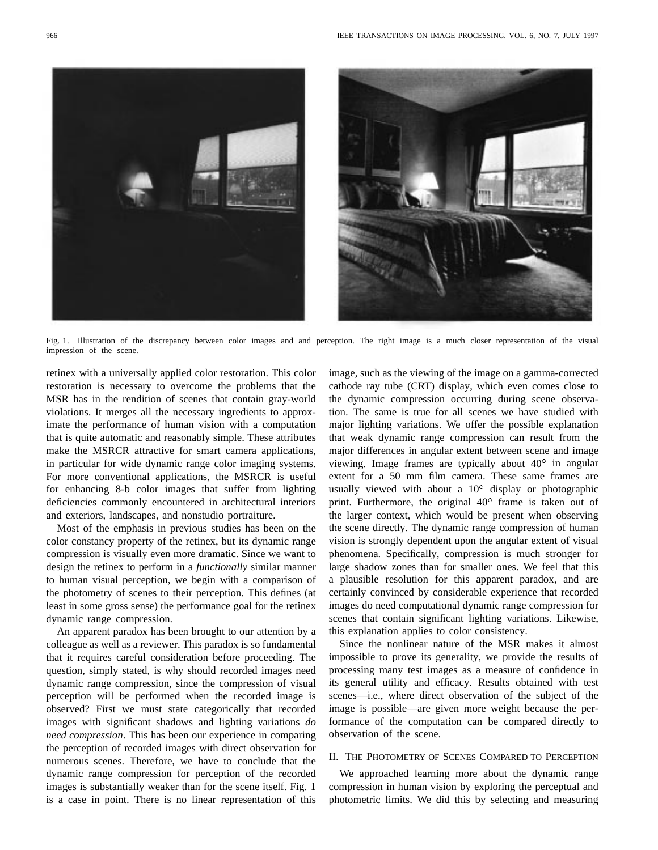



Fig. 1. Illustration of the discrepancy between color images and and perception. The right image is a much closer representation of the visual impression of the scene.

retinex with a universally applied color restoration. This color restoration is necessary to overcome the problems that the MSR has in the rendition of scenes that contain gray-world violations. It merges all the necessary ingredients to approximate the performance of human vision with a computation that is quite automatic and reasonably simple. These attributes make the MSRCR attractive for smart camera applications, in particular for wide dynamic range color imaging systems. For more conventional applications, the MSRCR is useful for enhancing 8-b color images that suffer from lighting deficiencies commonly encountered in architectural interiors and exteriors, landscapes, and nonstudio portraiture.

Most of the emphasis in previous studies has been on the color constancy property of the retinex, but its dynamic range compression is visually even more dramatic. Since we want to design the retinex to perform in a *functionally* similar manner to human visual perception, we begin with a comparison of the photometry of scenes to their perception. This defines (at least in some gross sense) the performance goal for the retinex dynamic range compression.

An apparent paradox has been brought to our attention by a colleague as well as a reviewer. This paradox is so fundamental that it requires careful consideration before proceeding. The question, simply stated, is why should recorded images need dynamic range compression, since the compression of visual perception will be performed when the recorded image is observed? First we must state categorically that recorded images with significant shadows and lighting variations *do need compression*. This has been our experience in comparing the perception of recorded images with direct observation for numerous scenes. Therefore, we have to conclude that the dynamic range compression for perception of the recorded images is substantially weaker than for the scene itself. Fig. 1 is a case in point. There is no linear representation of this

image, such as the viewing of the image on a gamma-corrected cathode ray tube (CRT) display, which even comes close to the dynamic compression occurring during scene observation. The same is true for all scenes we have studied with major lighting variations. We offer the possible explanation that weak dynamic range compression can result from the major differences in angular extent between scene and image viewing. Image frames are typically about  $40^{\circ}$  in angular extent for a 50 mm film camera. These same frames are usually viewed with about a  $10^{\circ}$  display or photographic print. Furthermore, the original  $40^{\circ}$  frame is taken out of the larger context, which would be present when observing the scene directly. The dynamic range compression of human vision is strongly dependent upon the angular extent of visual phenomena. Specifically, compression is much stronger for large shadow zones than for smaller ones. We feel that this a plausible resolution for this apparent paradox, and are certainly convinced by considerable experience that recorded images do need computational dynamic range compression for scenes that contain significant lighting variations. Likewise, this explanation applies to color consistency.

Since the nonlinear nature of the MSR makes it almost impossible to prove its generality, we provide the results of processing many test images as a measure of confidence in its general utility and efficacy. Results obtained with test scenes—i.e., where direct observation of the subject of the image is possible—are given more weight because the performance of the computation can be compared directly to observation of the scene.

# II. THE PHOTOMETRY OF SCENES COMPARED TO PERCEPTION

We approached learning more about the dynamic range compression in human vision by exploring the perceptual and photometric limits. We did this by selecting and measuring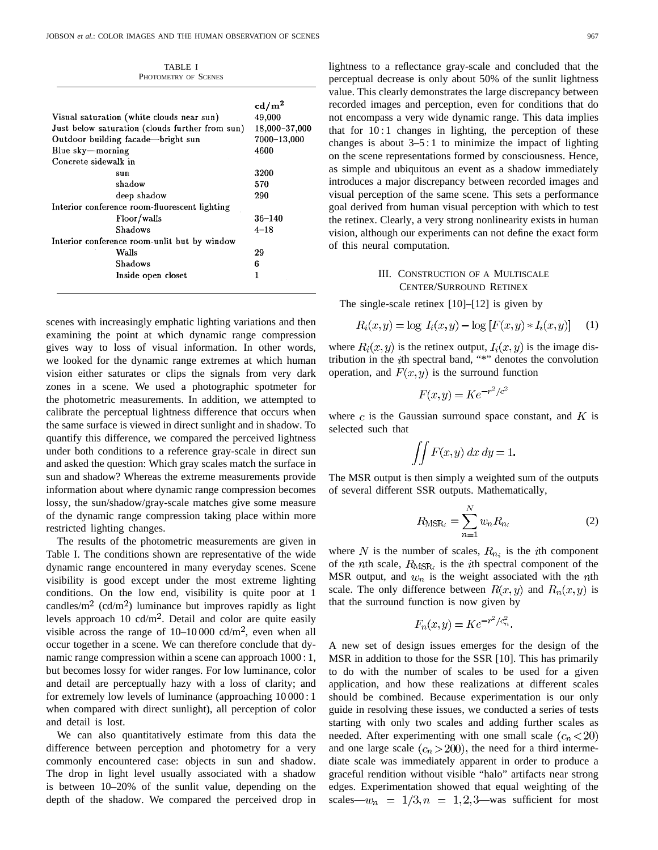TABLE I PHOTOMETRY OF SCENES

|                                                 | cd/m <sup>2</sup> |  |  |  |
|-------------------------------------------------|-------------------|--|--|--|
| Visual saturation (white clouds near sun)       | 49,000            |  |  |  |
| Just below saturation (clouds further from sun) | 18,000-37,000     |  |  |  |
| Outdoor building facade-bright sun              | 7000-13,000       |  |  |  |
| Blue sky-morning                                | 4600              |  |  |  |
| Concrete sidewalk in                            |                   |  |  |  |
| sun                                             | 3200              |  |  |  |
| shadow                                          | 570               |  |  |  |
| deep shadow                                     | 290               |  |  |  |
| Interior conference room-fluorescent lighting   |                   |  |  |  |
| Floor/walls                                     | $36 - 140$        |  |  |  |
| <b>Shadows</b>                                  | 4–18              |  |  |  |
| Interior conference room-unlit but by window    |                   |  |  |  |
| Walls                                           | 29                |  |  |  |
| Shadows                                         | 6                 |  |  |  |
| Inside open closet                              | 1                 |  |  |  |

scenes with increasingly emphatic lighting variations and then examining the point at which dynamic range compression gives way to loss of visual information. In other words, we looked for the dynamic range extremes at which human vision either saturates or clips the signals from very dark zones in a scene. We used a photographic spotmeter for the photometric measurements. In addition, we attempted to calibrate the perceptual lightness difference that occurs when the same surface is viewed in direct sunlight and in shadow. To quantify this difference, we compared the perceived lightness under both conditions to a reference gray-scale in direct sun and asked the question: Which gray scales match the surface in sun and shadow? Whereas the extreme measurements provide information about where dynamic range compression becomes lossy, the sun/shadow/gray-scale matches give some measure of the dynamic range compression taking place within more restricted lighting changes.

The results of the photometric measurements are given in Table I. The conditions shown are representative of the wide dynamic range encountered in many everyday scenes. Scene visibility is good except under the most extreme lighting conditions. On the low end, visibility is quite poor at 1 candles/m<sup>2</sup> (cd/m<sup>2</sup>) luminance but improves rapidly as light levels approach 10  $cd/m^2$ . Detail and color are quite easily visible across the range of  $10-10000 \text{ cd/m}^2$ , even when all occur together in a scene. We can therefore conclude that dynamic range compression within a scene can approach 1000 : 1, but becomes lossy for wider ranges. For low luminance, color and detail are perceptually hazy with a loss of clarity; and for extremely low levels of luminance (approaching 10 000 : 1 when compared with direct sunlight), all perception of color and detail is lost.

We can also quantitatively estimate from this data the difference between perception and photometry for a very commonly encountered case: objects in sun and shadow. The drop in light level usually associated with a shadow is between 10–20% of the sunlit value, depending on the depth of the shadow. We compared the perceived drop in lightness to a reflectance gray-scale and concluded that the perceptual decrease is only about 50% of the sunlit lightness value. This clearly demonstrates the large discrepancy between recorded images and perception, even for conditions that do not encompass a very wide dynamic range. This data implies that for  $10:1$  changes in lighting, the perception of these changes is about  $3-5:1$  to minimize the impact of lighting on the scene representations formed by consciousness. Hence, as simple and ubiquitous an event as a shadow immediately introduces a major discrepancy between recorded images and visual perception of the same scene. This sets a performance goal derived from human visual perception with which to test the retinex. Clearly, a very strong nonlinearity exists in human vision, although our experiments can not define the exact form of this neural computation.

# III. CONSTRUCTION OF A MULTISCALE CENTER/SURROUND RETINEX

The single-scale retinex [10]–[12] is given by

$$
R_i(x, y) = \log I_i(x, y) - \log [F(x, y) * I_i(x, y)] \tag{1}
$$

where  $R_i(x, y)$  is the retinex output,  $I_i(x, y)$  is the image distribution in the  $i$ th spectral band, "\*" denotes the convolution operation, and  $F(x, y)$  is the surround function

$$
F(x, y) = Ke^{-r^2/c}
$$

where c is the Gaussian surround space constant, and  $K$  is selected such that

$$
\iint F(x, y) \, dx \, dy = 1.
$$

The MSR output is then simply a weighted sum of the outputs of several different SSR outputs. Mathematically,

$$
R_{\text{MSR}_i} = \sum_{n=1}^{N} w_n R_{n_i} \tag{2}
$$

where N is the number of scales,  $R_{n_i}$  is the *i*th component of the *n*th scale,  $R_{\text{MSR}_i}$  is the *i*th spectral component of the MSR output, and  $w_n$  is the weight associated with the *n*th scale. The only difference between  $R(x, y)$  and  $R_n(x, y)$  is that the surround function is now given by

$$
F_n(x, y) = Ke^{-r^2/c_n^2}
$$

A new set of design issues emerges for the design of the MSR in addition to those for the SSR [10]. This has primarily to do with the number of scales to be used for a given application, and how these realizations at different scales should be combined. Because experimentation is our only guide in resolving these issues, we conducted a series of tests starting with only two scales and adding further scales as needed. After experimenting with one small scale  $(c_n < 20)$ and one large scale  $(c_n > 200)$ , the need for a third intermediate scale was immediately apparent in order to produce a graceful rendition without visible "halo" artifacts near strong edges. Experimentation showed that equal weighting of the scales— $w_n = 1/3, n = 1, 2, 3$ —was sufficient for most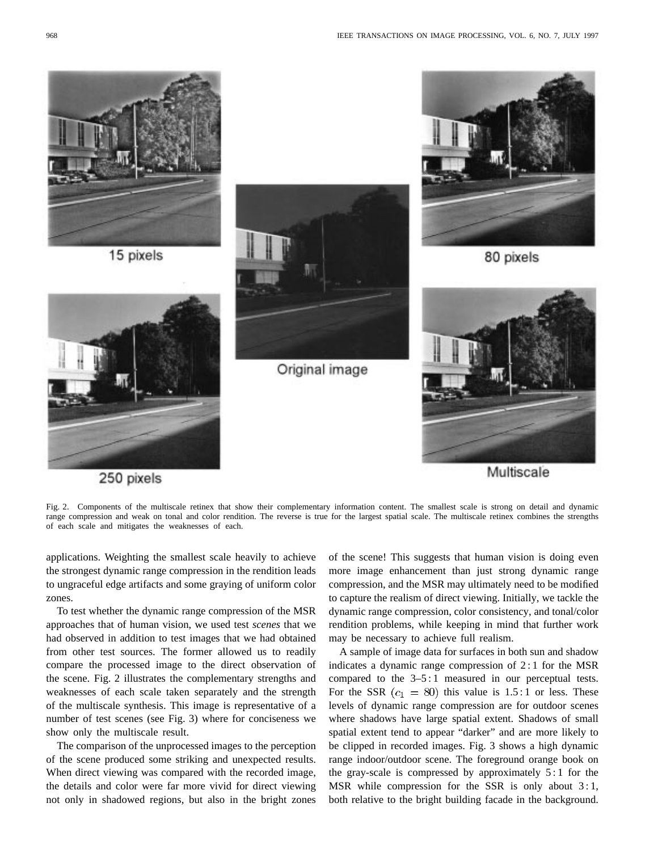

250 pixels

Fig. 2. Components of the multiscale retinex that show their complementary information content. The smallest scale is strong on detail and dynamic range compression and weak on tonal and color rendition. The reverse is true for the largest spatial scale. The multiscale retinex combines the strengths of each scale and mitigates the weaknesses of each.

applications. Weighting the smallest scale heavily to achieve the strongest dynamic range compression in the rendition leads to ungraceful edge artifacts and some graying of uniform color zones.

To test whether the dynamic range compression of the MSR approaches that of human vision, we used test *scenes* that we had observed in addition to test images that we had obtained from other test sources. The former allowed us to readily compare the processed image to the direct observation of the scene. Fig. 2 illustrates the complementary strengths and weaknesses of each scale taken separately and the strength of the multiscale synthesis. This image is representative of a number of test scenes (see Fig. 3) where for conciseness we show only the multiscale result.

The comparison of the unprocessed images to the perception of the scene produced some striking and unexpected results. When direct viewing was compared with the recorded image, the details and color were far more vivid for direct viewing not only in shadowed regions, but also in the bright zones of the scene! This suggests that human vision is doing even more image enhancement than just strong dynamic range compression, and the MSR may ultimately need to be modified to capture the realism of direct viewing. Initially, we tackle the dynamic range compression, color consistency, and tonal/color rendition problems, while keeping in mind that further work may be necessary to achieve full realism.

A sample of image data for surfaces in both sun and shadow indicates a dynamic range compression of 2 : 1 for the MSR compared to the 3–5 : 1 measured in our perceptual tests. For the SSR  $(c_1 = 80)$  this value is 1.5:1 or less. These levels of dynamic range compression are for outdoor scenes where shadows have large spatial extent. Shadows of small spatial extent tend to appear "darker" and are more likely to be clipped in recorded images. Fig. 3 shows a high dynamic range indoor/outdoor scene. The foreground orange book on the gray-scale is compressed by approximately 5 : 1 for the MSR while compression for the SSR is only about  $3:1$ , both relative to the bright building facade in the background.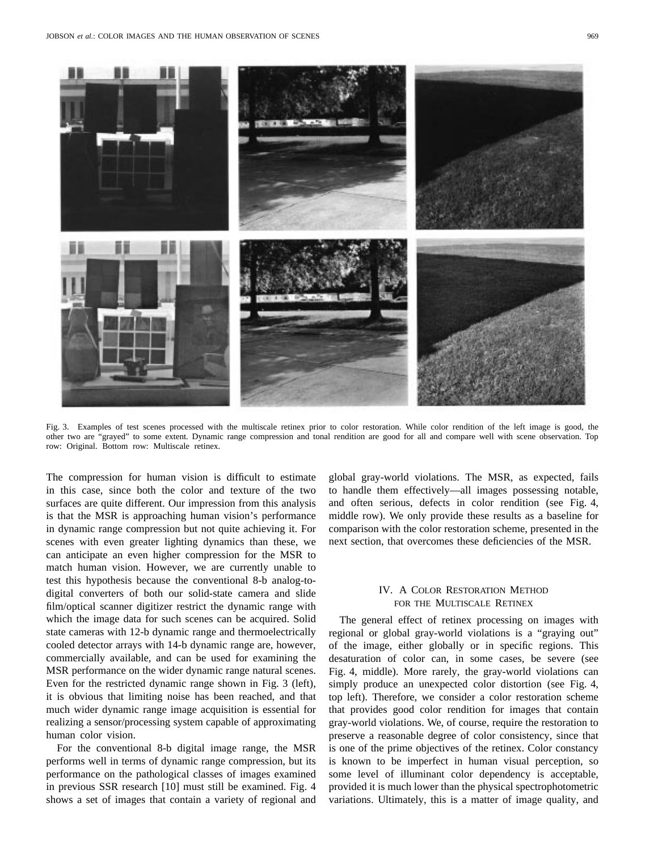

Fig. 3. Examples of test scenes processed with the multiscale retinex prior to color restoration. While color rendition of the left image is good, the other two are "grayed" to some extent. Dynamic range compression and tonal rendition are good for all and compare well with scene observation. Top row: Original. Bottom row: Multiscale retinex.

The compression for human vision is difficult to estimate in this case, since both the color and texture of the two surfaces are quite different. Our impression from this analysis is that the MSR is approaching human vision's performance in dynamic range compression but not quite achieving it. For scenes with even greater lighting dynamics than these, we can anticipate an even higher compression for the MSR to match human vision. However, we are currently unable to test this hypothesis because the conventional 8-b analog-todigital converters of both our solid-state camera and slide film/optical scanner digitizer restrict the dynamic range with which the image data for such scenes can be acquired. Solid state cameras with 12-b dynamic range and thermoelectrically cooled detector arrays with 14-b dynamic range are, however, commercially available, and can be used for examining the MSR performance on the wider dynamic range natural scenes. Even for the restricted dynamic range shown in Fig. 3 (left), it is obvious that limiting noise has been reached, and that much wider dynamic range image acquisition is essential for realizing a sensor/processing system capable of approximating human color vision.

For the conventional 8-b digital image range, the MSR performs well in terms of dynamic range compression, but its performance on the pathological classes of images examined in previous SSR research [10] must still be examined. Fig. 4 shows a set of images that contain a variety of regional and global gray-world violations. The MSR, as expected, fails to handle them effectively—all images possessing notable, and often serious, defects in color rendition (see Fig. 4, middle row). We only provide these results as a baseline for comparison with the color restoration scheme, presented in the next section, that overcomes these deficiencies of the MSR.

# IV. A COLOR RESTORATION METHOD FOR THE MULTISCALE RETINEX

The general effect of retinex processing on images with regional or global gray-world violations is a "graying out" of the image, either globally or in specific regions. This desaturation of color can, in some cases, be severe (see Fig. 4, middle). More rarely, the gray-world violations can simply produce an unexpected color distortion (see Fig. 4, top left). Therefore, we consider a color restoration scheme that provides good color rendition for images that contain gray-world violations. We, of course, require the restoration to preserve a reasonable degree of color consistency, since that is one of the prime objectives of the retinex. Color constancy is known to be imperfect in human visual perception, so some level of illuminant color dependency is acceptable, provided it is much lower than the physical spectrophotometric variations. Ultimately, this is a matter of image quality, and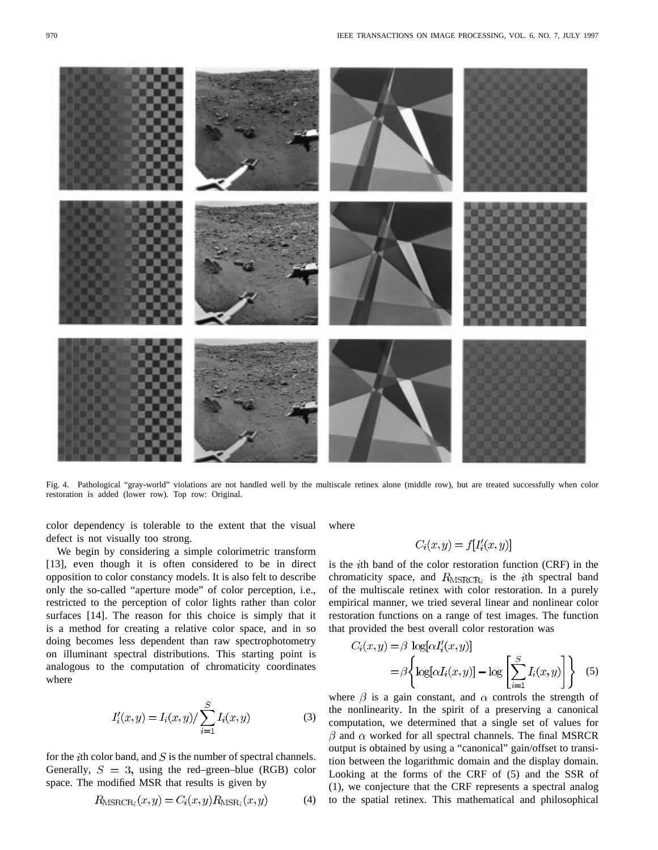

Fig. 4. Pathological "gray-world" violations are not handled well by the multiscale retinex alone (middle row), but are treated successfully when color restoration is added (lower row). Top row: Original.

color dependency is tolerable to the extent that the visual defect is not visually too strong.

We begin by considering a simple colorimetric transform [13], even though it is often considered to be in direct opposition to color constancy models. It is also felt to describe only the so-called "aperture mode" of color perception, i.e., restricted to the perception of color lights rather than color surfaces [14]. The reason for this choice is simply that it is a method for creating a relative color space, and in so doing becomes less dependent than raw spectrophotometry on illuminant spectral distributions. This starting point is analogous to the computation of chromaticity coordinates where

$$
I'_i(x, y) = I_i(x, y) / \sum_{i=1}^{S} I_i(x, y)
$$
 (3)

for the *i*th color band, and  $S$  is the number of spectral channels. Generally,  $S = 3$ , using the red–green–blue (RGB) color space. The modified MSR that results is given by

$$
R_{\text{MSRCR}_i}(x, y) = C_i(x, y) R_{\text{MSR}_i}(x, y) \tag{4}
$$

where

$$
C_i(x, y) = f[I'_i(x, y)]
$$

is the  $i$ th band of the color restoration function (CRF) in the chromaticity space, and  $R_{\text{MSRCR}_i}$  is the *i*th spectral band of the multiscale retinex with color restoration. In a purely empirical manner, we tried several linear and nonlinear color restoration functions on a range of test images. The function that provided the best overall color restoration was

$$
C_i(x, y) = \beta \log[\alpha I'_i(x, y)]
$$
  
=  $\beta \left\{ \log[\alpha I_i(x, y)] - \log \left[ \sum_{i=1}^S I_i(x, y) \right] \right\}$  (5)

where  $\beta$  is a gain constant, and  $\alpha$  controls the strength of the nonlinearity. In the spirit of a preserving a canonical computation, we determined that a single set of values for  $\beta$  and  $\alpha$  worked for all spectral channels. The final MSRCR output is obtained by using a "canonical" gain/offset to transition between the logarithmic domain and the display domain. Looking at the forms of the CRF of (5) and the SSR of (1), we conjecture that the CRF represents a spectral analog to the spatial retinex. This mathematical and philosophical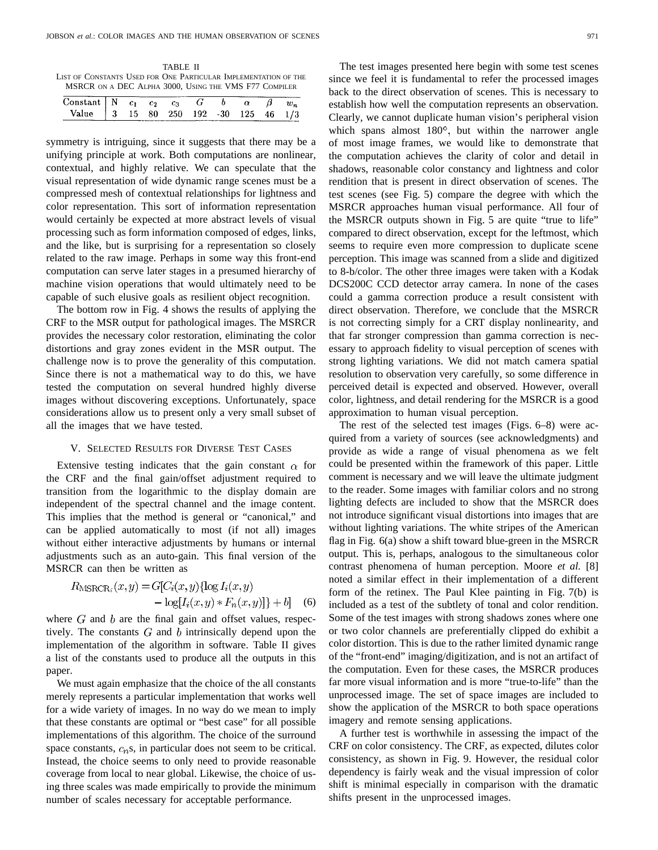TABLE II LIST OF CONSTANTS USED FOR ONE PARTICULAR IMPLEMENTATION OF THE MSRCR ON A DEC ALPHA 3000, USING THE VMS F77 COMPILER

| Constant   N $c_1$ $c_2$ $c_3$ $G$ $b$ $\alpha$ $\beta$ $w_n$ |  |  |  |  |  |
|---------------------------------------------------------------|--|--|--|--|--|
| Value 3 15 80 250 192 -30 125 46 1/3                          |  |  |  |  |  |

symmetry is intriguing, since it suggests that there may be a unifying principle at work. Both computations are nonlinear, contextual, and highly relative. We can speculate that the visual representation of wide dynamic range scenes must be a compressed mesh of contextual relationships for lightness and color representation. This sort of information representation would certainly be expected at more abstract levels of visual processing such as form information composed of edges, links, and the like, but is surprising for a representation so closely related to the raw image. Perhaps in some way this front-end computation can serve later stages in a presumed hierarchy of machine vision operations that would ultimately need to be capable of such elusive goals as resilient object recognition.

The bottom row in Fig. 4 shows the results of applying the CRF to the MSR output for pathological images. The MSRCR provides the necessary color restoration, eliminating the color distortions and gray zones evident in the MSR output. The challenge now is to prove the generality of this computation. Since there is not a mathematical way to do this, we have tested the computation on several hundred highly diverse images without discovering exceptions. Unfortunately, space considerations allow us to present only a very small subset of all the images that we have tested.

### V. SELECTED RESULTS FOR DIVERSE TEST CASES

Extensive testing indicates that the gain constant  $\alpha$  for the CRF and the final gain/offset adjustment required to transition from the logarithmic to the display domain are independent of the spectral channel and the image content. This implies that the method is general or "canonical," and can be applied automatically to most (if not all) images without either interactive adjustments by humans or internal adjustments such as an auto-gain. This final version of the MSRCR can then be written as

$$
R_{\text{MSRCR}_i}(x, y) = G[C_i(x, y) \{ \log I_i(x, y) - \log[I_i(x, y) * F_n(x, y)] \} + b] \quad (6)
$$

where  $G$  and  $b$  are the final gain and offset values, respectively. The constants  $G$  and  $b$  intrinsically depend upon the implementation of the algorithm in software. Table II gives a list of the constants used to produce all the outputs in this paper.

We must again emphasize that the choice of the all constants merely represents a particular implementation that works well for a wide variety of images. In no way do we mean to imply that these constants are optimal or "best case" for all possible implementations of this algorithm. The choice of the surround space constants,  $c_n$ s, in particular does not seem to be critical. Instead, the choice seems to only need to provide reasonable coverage from local to near global. Likewise, the choice of using three scales was made empirically to provide the minimum number of scales necessary for acceptable performance.

The test images presented here begin with some test scenes since we feel it is fundamental to refer the processed images back to the direct observation of scenes. This is necessary to establish how well the computation represents an observation. Clearly, we cannot duplicate human vision's peripheral vision which spans almost  $180^\circ$ , but within the narrower angle of most image frames, we would like to demonstrate that the computation achieves the clarity of color and detail in shadows, reasonable color constancy and lightness and color rendition that is present in direct observation of scenes. The test scenes (see Fig. 5) compare the degree with which the MSRCR approaches human visual performance. All four of the MSRCR outputs shown in Fig. 5 are quite "true to life" compared to direct observation, except for the leftmost, which seems to require even more compression to duplicate scene perception. This image was scanned from a slide and digitized to 8-b/color. The other three images were taken with a Kodak DCS200C CCD detector array camera. In none of the cases could a gamma correction produce a result consistent with direct observation. Therefore, we conclude that the MSRCR is not correcting simply for a CRT display nonlinearity, and that far stronger compression than gamma correction is necessary to approach fidelity to visual perception of scenes with strong lighting variations. We did not match camera spatial resolution to observation very carefully, so some difference in perceived detail is expected and observed. However, overall color, lightness, and detail rendering for the MSRCR is a good approximation to human visual perception.

The rest of the selected test images (Figs. 6–8) were acquired from a variety of sources (see acknowledgments) and provide as wide a range of visual phenomena as we felt could be presented within the framework of this paper. Little comment is necessary and we will leave the ultimate judgment to the reader. Some images with familiar colors and no strong lighting defects are included to show that the MSRCR does not introduce significant visual distortions into images that are without lighting variations. The white stripes of the American flag in Fig. 6(a) show a shift toward blue-green in the MSRCR output. This is, perhaps, analogous to the simultaneous color contrast phenomena of human perception. Moore *et al.* [8] noted a similar effect in their implementation of a different form of the retinex. The Paul Klee painting in Fig. 7(b) is included as a test of the subtlety of tonal and color rendition. Some of the test images with strong shadows zones where one or two color channels are preferentially clipped do exhibit a color distortion. This is due to the rather limited dynamic range of the "front-end" imaging/digitization, and is not an artifact of the computation. Even for these cases, the MSRCR produces far more visual information and is more "true-to-life" than the unprocessed image. The set of space images are included to show the application of the MSRCR to both space operations imagery and remote sensing applications.

A further test is worthwhile in assessing the impact of the CRF on color consistency. The CRF, as expected, dilutes color consistency, as shown in Fig. 9. However, the residual color dependency is fairly weak and the visual impression of color shift is minimal especially in comparison with the dramatic shifts present in the unprocessed images.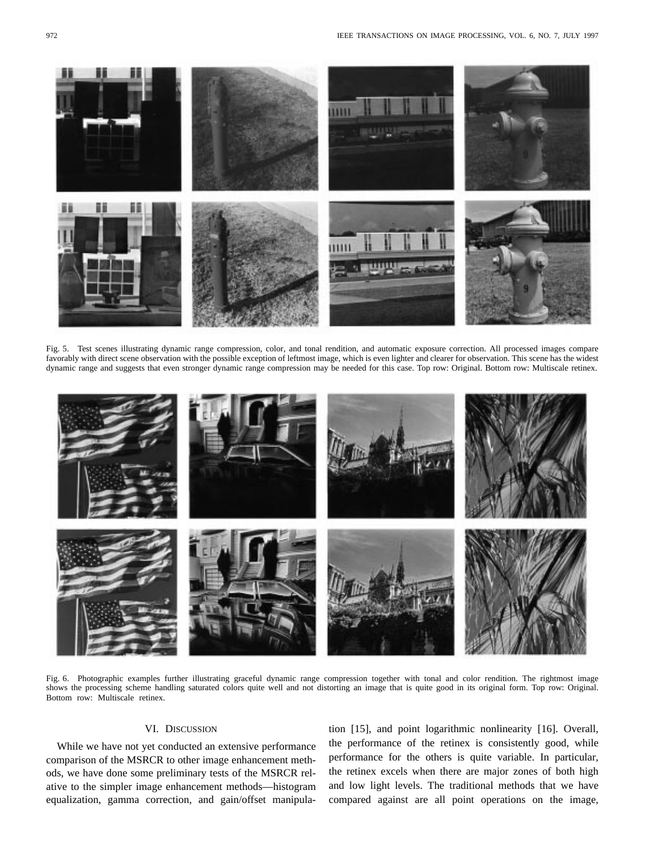

Fig. 5. Test scenes illustrating dynamic range compression, color, and tonal rendition, and automatic exposure correction. All processed images compare favorably with direct scene observation with the possible exception of leftmost image, which is even lighter and clearer for observation. This scene has the widest dynamic range and suggests that even stronger dynamic range compression may be needed for this case. Top row: Original. Bottom row: Multiscale retinex.



Fig. 6. Photographic examples further illustrating graceful dynamic range compression together with tonal and color rendition. The rightmost image shows the processing scheme handling saturated colors quite well and not distorting an image that is quite good in its original form. Top row: Original. Bottom row: Multiscale retinex.

### VI. DISCUSSION

While we have not yet conducted an extensive performance comparison of the MSRCR to other image enhancement methods, we have done some preliminary tests of the MSRCR relative to the simpler image enhancement methods—histogram equalization, gamma correction, and gain/offset manipula-

tion [15], and point logarithmic nonlinearity [16]. Overall, the performance of the retinex is consistently good, while performance for the others is quite variable. In particular, the retinex excels when there are major zones of both high and low light levels. The traditional methods that we have compared against are all point operations on the image,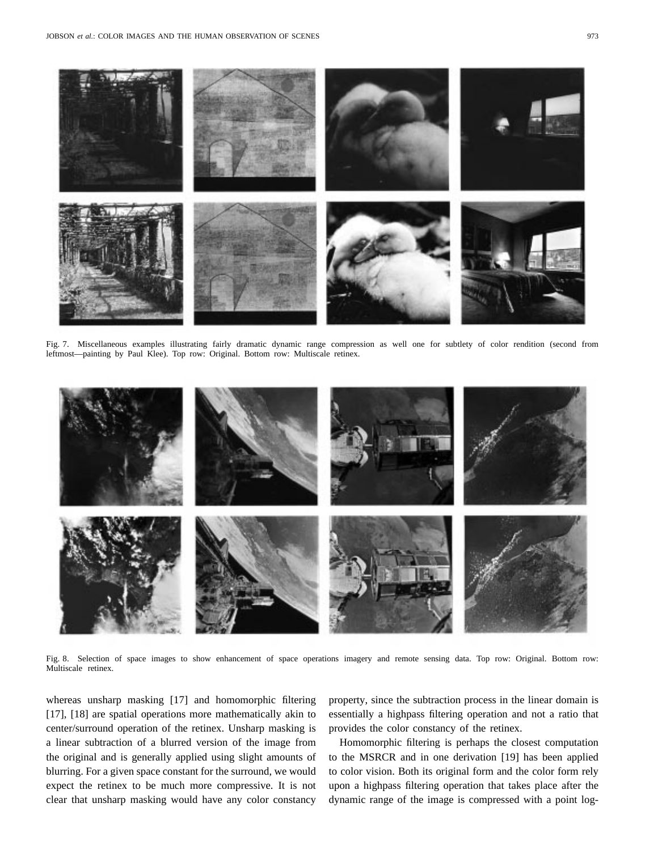

Fig. 7. Miscellaneous examples illustrating fairly dramatic dynamic range compression as well one for subtlety of color rendition (second from leftmost—painting by Paul Klee). Top row: Original. Bottom row: Multiscale retinex.



Fig. 8. Selection of space images to show enhancement of space operations imagery and remote sensing data. Top row: Original. Bottom row: Multiscale retinex.

whereas unsharp masking [17] and homomorphic filtering [17], [18] are spatial operations more mathematically akin to center/surround operation of the retinex. Unsharp masking is a linear subtraction of a blurred version of the image from the original and is generally applied using slight amounts of blurring. For a given space constant for the surround, we would expect the retinex to be much more compressive. It is not clear that unsharp masking would have any color constancy

property, since the subtraction process in the linear domain is essentially a highpass filtering operation and not a ratio that provides the color constancy of the retinex.

Homomorphic filtering is perhaps the closest computation to the MSRCR and in one derivation [19] has been applied to color vision. Both its original form and the color form rely upon a highpass filtering operation that takes place after the dynamic range of the image is compressed with a point log-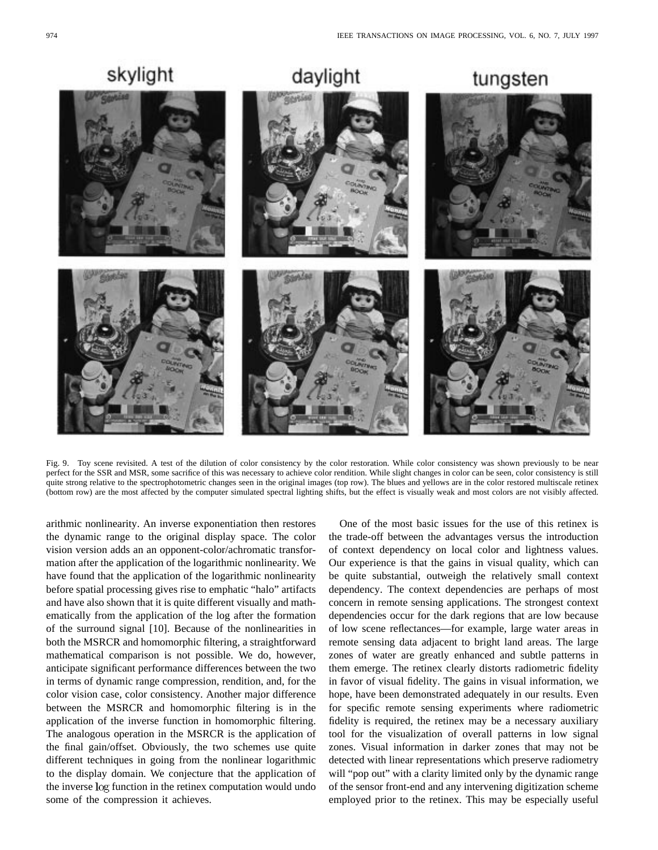

Fig. 9. Toy scene revisited. A test of the dilution of color consistency by the color restoration. While color consistency was shown previously to be near perfect for the SSR and MSR, some sacrifice of this was necessary to achieve color rendition. While slight changes in color can be seen, color consistency is still quite strong relative to the spectrophotometric changes seen in the original images (top row). The blues and yellows are in the color restored multiscale retinex (bottom row) are the most affected by the computer simulated spectral lighting shifts, but the effect is visually weak and most colors are not visibly affected.

arithmic nonlinearity. An inverse exponentiation then restores the dynamic range to the original display space. The color vision version adds an an opponent-color/achromatic transformation after the application of the logarithmic nonlinearity. We have found that the application of the logarithmic nonlinearity before spatial processing gives rise to emphatic "halo" artifacts and have also shown that it is quite different visually and mathematically from the application of the log after the formation of the surround signal [10]. Because of the nonlinearities in both the MSRCR and homomorphic filtering, a straightforward mathematical comparison is not possible. We do, however, anticipate significant performance differences between the two in terms of dynamic range compression, rendition, and, for the color vision case, color consistency. Another major difference between the MSRCR and homomorphic filtering is in the application of the inverse function in homomorphic filtering. The analogous operation in the MSRCR is the application of the final gain/offset. Obviously, the two schemes use quite different techniques in going from the nonlinear logarithmic to the display domain. We conjecture that the application of the inverse log function in the retinex computation would undo some of the compression it achieves.

One of the most basic issues for the use of this retinex is the trade-off between the advantages versus the introduction of context dependency on local color and lightness values. Our experience is that the gains in visual quality, which can be quite substantial, outweigh the relatively small context dependency. The context dependencies are perhaps of most concern in remote sensing applications. The strongest context dependencies occur for the dark regions that are low because of low scene reflectances—for example, large water areas in remote sensing data adjacent to bright land areas. The large zones of water are greatly enhanced and subtle patterns in them emerge. The retinex clearly distorts radiometric fidelity in favor of visual fidelity. The gains in visual information, we hope, have been demonstrated adequately in our results. Even for specific remote sensing experiments where radiometric fidelity is required, the retinex may be a necessary auxiliary tool for the visualization of overall patterns in low signal zones. Visual information in darker zones that may not be detected with linear representations which preserve radiometry will "pop out" with a clarity limited only by the dynamic range of the sensor front-end and any intervening digitization scheme employed prior to the retinex. This may be especially useful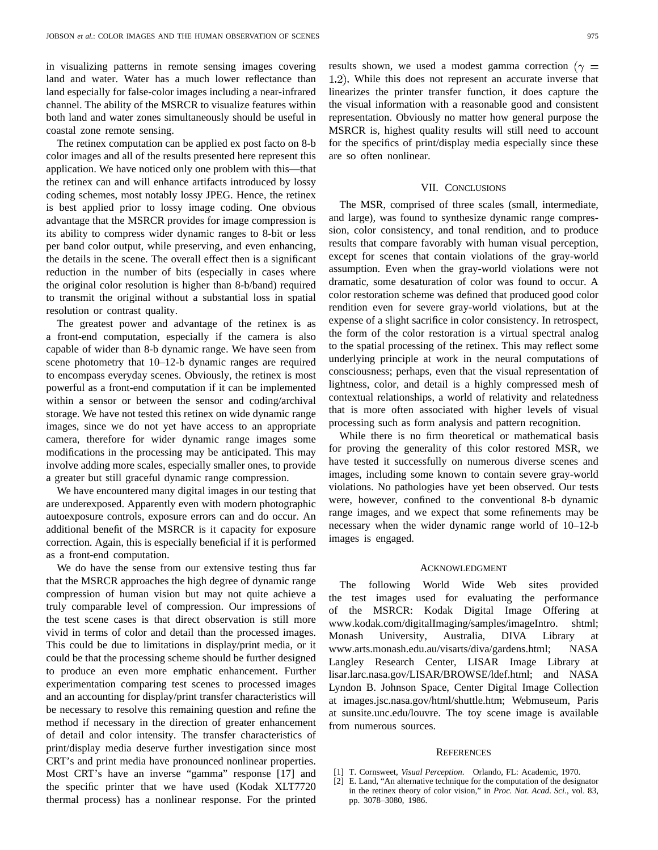in visualizing patterns in remote sensing images covering land and water. Water has a much lower reflectance than land especially for false-color images including a near-infrared channel. The ability of the MSRCR to visualize features within both land and water zones simultaneously should be useful in coastal zone remote sensing.

The retinex computation can be applied ex post facto on 8-b color images and all of the results presented here represent this application. We have noticed only one problem with this—that the retinex can and will enhance artifacts introduced by lossy coding schemes, most notably lossy JPEG. Hence, the retinex is best applied prior to lossy image coding. One obvious advantage that the MSRCR provides for image compression is its ability to compress wider dynamic ranges to 8-bit or less per band color output, while preserving, and even enhancing, the details in the scene. The overall effect then is a significant reduction in the number of bits (especially in cases where the original color resolution is higher than 8-b/band) required to transmit the original without a substantial loss in spatial resolution or contrast quality.

The greatest power and advantage of the retinex is as a front-end computation, especially if the camera is also capable of wider than 8-b dynamic range. We have seen from scene photometry that 10–12-b dynamic ranges are required to encompass everyday scenes. Obviously, the retinex is most powerful as a front-end computation if it can be implemented within a sensor or between the sensor and coding/archival storage. We have not tested this retinex on wide dynamic range images, since we do not yet have access to an appropriate camera, therefore for wider dynamic range images some modifications in the processing may be anticipated. This may involve adding more scales, especially smaller ones, to provide a greater but still graceful dynamic range compression.

We have encountered many digital images in our testing that are underexposed. Apparently even with modern photographic autoexposure controls, exposure errors can and do occur. An additional benefit of the MSRCR is it capacity for exposure correction. Again, this is especially beneficial if it is performed as a front-end computation.

We do have the sense from our extensive testing thus far that the MSRCR approaches the high degree of dynamic range compression of human vision but may not quite achieve a truly comparable level of compression. Our impressions of the test scene cases is that direct observation is still more vivid in terms of color and detail than the processed images. This could be due to limitations in display/print media, or it could be that the processing scheme should be further designed to produce an even more emphatic enhancement. Further experimentation comparing test scenes to processed images and an accounting for display/print transfer characteristics will be necessary to resolve this remaining question and refine the method if necessary in the direction of greater enhancement of detail and color intensity. The transfer characteristics of print/display media deserve further investigation since most CRT's and print media have pronounced nonlinear properties. Most CRT's have an inverse "gamma" response [17] and the specific printer that we have used (Kodak XLT7720 thermal process) has a nonlinear response. For the printed

results shown, we used a modest gamma correction ( $\gamma$  = While this does not represent an accurate inverse that linearizes the printer transfer function, it does capture the the visual information with a reasonable good and consistent representation. Obviously no matter how general purpose the MSRCR is, highest quality results will still need to account for the specifics of print/display media especially since these are so often nonlinear.

#### VII. CONCLUSIONS

The MSR, comprised of three scales (small, intermediate, and large), was found to synthesize dynamic range compression, color consistency, and tonal rendition, and to produce results that compare favorably with human visual perception, except for scenes that contain violations of the gray-world assumption. Even when the gray-world violations were not dramatic, some desaturation of color was found to occur. A color restoration scheme was defined that produced good color rendition even for severe gray-world violations, but at the expense of a slight sacrifice in color consistency. In retrospect, the form of the color restoration is a virtual spectral analog to the spatial processing of the retinex. This may reflect some underlying principle at work in the neural computations of consciousness; perhaps, even that the visual representation of lightness, color, and detail is a highly compressed mesh of contextual relationships, a world of relativity and relatedness that is more often associated with higher levels of visual processing such as form analysis and pattern recognition.

While there is no firm theoretical or mathematical basis for proving the generality of this color restored MSR, we have tested it successfully on numerous diverse scenes and images, including some known to contain severe gray-world violations. No pathologies have yet been observed. Our tests were, however, confined to the conventional 8-b dynamic range images, and we expect that some refinements may be necessary when the wider dynamic range world of 10–12-b images is engaged.

# ACKNOWLEDGMENT

The following World Wide Web sites provided the test images used for evaluating the performance of the MSRCR: Kodak Digital Image Offering at www.kodak.com/digitalImaging/samples/imageIntro. shtml; Monash University, Australia, DIVA Library at www.arts.monash.edu.au/visarts/diva/gardens.html; NASA Langley Research Center, LISAR Image Library at lisar.larc.nasa.gov/LISAR/BROWSE/ldef.html; and NASA Lyndon B. Johnson Space, Center Digital Image Collection at images.jsc.nasa.gov/html/shuttle.htm; Webmuseum, Paris at sunsite.unc.edu/louvre. The toy scene image is available from numerous sources.

#### **REFERENCES**

- [1] T. Cornsweet, *Visual Perception*. Orlando, FL: Academic, 1970.
- [2] E. Land, "An alternative technique for the computation of the designator in the retinex theory of color vision," in *Proc. Nat. Acad. Sci.*, vol. 83, pp. 3078–3080, 1986.